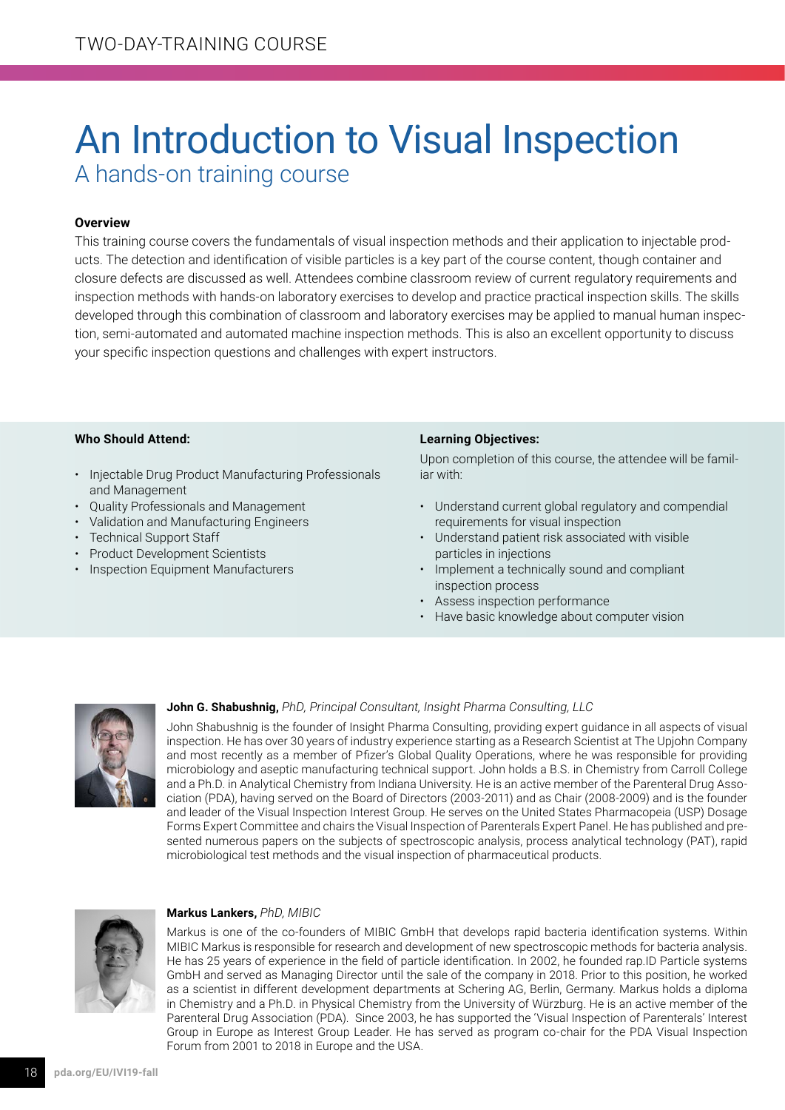# An Introduction to Visual Inspection A hands-on training course

### **Overview**

This training course covers the fundamentals of visual inspection methods and their application to injectable products. The detection and identification of visible particles is a key part of the course content, though container and closure defects are discussed as well. Attendees combine classroom review of current regulatory requirements and inspection methods with hands-on laboratory exercises to develop and practice practical inspection skills. The skills developed through this combination of classroom and laboratory exercises may be applied to manual human inspection, semi-automated and automated machine inspection methods. This is also an excellent opportunity to discuss your specific inspection questions and challenges with expert instructors.

### **Who Should Attend:**

- Injectable Drug Product Manufacturing Professionals and Management
- Quality Professionals and Management
- Validation and Manufacturing Engineers
- Technical Support Staff
- Product Development Scientists
- Inspection Equipment Manufacturers

### **Learning Objectives:**

Upon completion of this course, the attendee will be familiar with:

- Understand current global regulatory and compendial requirements for visual inspection
- Understand patient risk associated with visible particles in injections
- Implement a technically sound and compliant inspection process
- Assess inspection performance
- Have basic knowledge about computer vision



#### **John G. Shabushnig,** *PhD, Principal Consultant, Insight Pharma Consulting, LLC*

John Shabushnig is the founder of Insight Pharma Consulting, providing expert guidance in all aspects of visual inspection. He has over 30 years of industry experience starting as a Research Scientist at The Upjohn Company and most recently as a member of Pfizer's Global Quality Operations, where he was responsible for providing microbiology and aseptic manufacturing technical support. John holds a B.S. in Chemistry from Carroll College and a Ph.D. in Analytical Chemistry from Indiana University. He is an active member of the Parenteral Drug Association (PDA), having served on the Board of Directors (2003-2011) and as Chair (2008-2009) and is the founder and leader of the Visual Inspection Interest Group. He serves on the United States Pharmacopeia (USP) Dosage Forms Expert Committee and chairs the Visual Inspection of Parenterals Expert Panel. He has published and presented numerous papers on the subjects of spectroscopic analysis, process analytical technology (PAT), rapid microbiological test methods and the visual inspection of pharmaceutical products.



#### **Markus Lankers,** *PhD, MIBIC*

Markus is one of the co-founders of MIBIC GmbH that develops rapid bacteria identification systems. Within MIBIC Markus is responsible for research and development of new spectroscopic methods for bacteria analysis. He has 25 years of experience in the field of particle identification. In 2002, he founded rap.ID Particle systems GmbH and served as Managing Director until the sale of the company in 2018. Prior to this position, he worked as a scientist in different development departments at Schering AG, Berlin, Germany. Markus holds a diploma in Chemistry and a Ph.D. in Physical Chemistry from the University of Würzburg. He is an active member of the Parenteral Drug Association (PDA). Since 2003, he has supported the 'Visual Inspection of Parenterals' Interest Group in Europe as Interest Group Leader. He has served as program co-chair for the PDA Visual Inspection Forum from 2001 to 2018 in Europe and the USA.